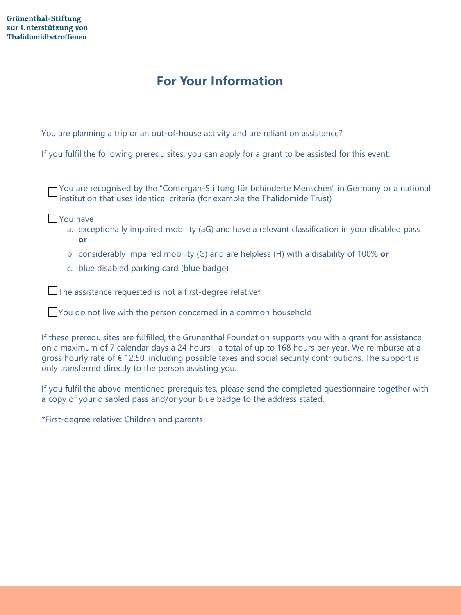# **For Your Information**

You are planning a trip or an out-of-house activity and are reliant on assistance?

If you fulfil the following prerequisites, you can apply for a grant to be assisted for this event:

You are recognised by the "Contergan-Stiftung für behinderte Menschen" in Germany or a national institution that uses identical criteria (for example the Thalidomide Trust)

- **Nou** have
	- a. exceptionally impaired mobility (aG) and have a relevant classification in your disabled pass **or**
	- b. considerably impaired mobility (G) and are helpless (H) with a disability of 100% **or**
	- c. blue disabled parking card (blue badge)

The assistance requested is not a first-degree relative\*

You do not live with the person concerned in a common household

If these prerequisites are fulfilled, the Grünenthal Foundation supports you with a grant for assistance on a maximum of 7 calendar days à 24 hours - a total of up to 168 hours per year. We reimburse at a gross hourly rate of  $\epsilon$  12.50, including possible taxes and social security contributions. The support is only transferred directly to the person assisting you.

If you fulfil the above-mentioned prerequisites, please send the completed questionnaire together with a copy of your disabled pass and/or your blue badge to the address stated.

\*First-degree relative: Children and parents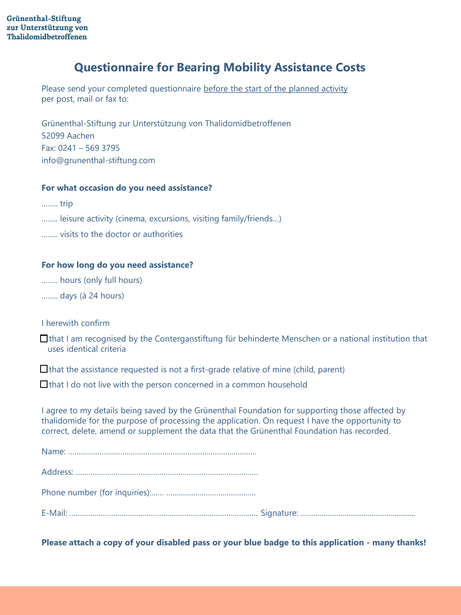## **Questionnaire for Bearing Mobility Assistance Costs**

Please send your completed questionnaire before the start of the planned activity per post, mail or fax to:

Grünenthal-Stiftung zur Unterstützung von Thalidomidbetroffenen 52099 Aachen Fax: 0241 – 569 3795 info@grunenthal-stiftung.com

### **For what occasion do you need assistance?**

…….. trip

........ leisure activity (cinema, excursions, visiting family/friends...)

…….. visits to the doctor or authorities

#### **For how long do you need assistance?**

…….. hours (only full hours)

…….. days (à 24 hours)

I herewith confirm

 $\Box$  that I am recognised by the Conterganstiftung für behinderte Menschen or a national institution that uses identical criteria

 $\Box$  that the assistance requested is not a first-grade relative of mine (child, parent)

 $\Box$  that I do not live with the person concerned in a common household

I agree to my details being saved by the Grünenthal Foundation for supporting those affected by thalidomide for the purpose of processing the application. On request I have the opportunity to correct, delete, amend or supplement the data that the Grünenthal Foundation has recorded.

|--|--|

Address: ……………………………………………………………………………

Phone number (for inquiries):…… …………………………………….

E-Mail: ……………………………………………………………………………… Signature: ………………………………………...........

**Please attach a copy of your disabled pass or your blue badge to this application - many thanks!**